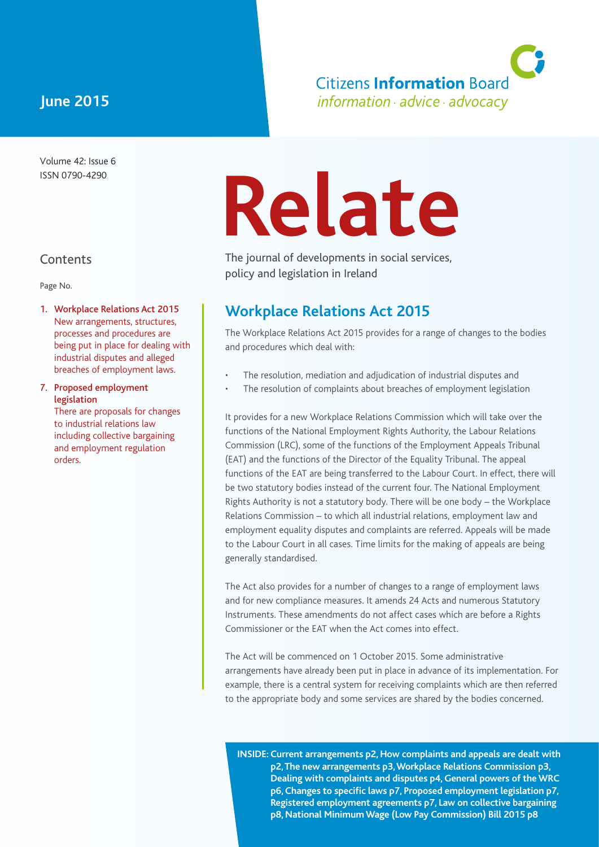# **June 2015**

Volume 42: Issue 6 ISSN 0790-4290

# **Contents**

orders.

Page No.

1. Workplace Relations Act 2015 New arrangements, structures, processes and procedures are being put in place for dealing with industrial disputes and alleged breaches of employment laws.

7. Proposed employment legislation There are proposals for changes to industrial relations law including collective bargaining and employment regulation

# **Relate**

The journal of developments in social services, policy and legislation in Ireland

# **Workplace Relations Act 2015**

The Workplace Relations Act 2015 provides for a range of changes to the bodies and procedures which deal with:

**Citizens Information Board** information · advice · advocacy

- The resolution, mediation and adjudication of industrial disputes and
- The resolution of complaints about breaches of employment legislation

It provides for a new Workplace Relations Commission which will take over the functions of the National Employment Rights Authority, the Labour Relations Commission (LRC), some of the functions of the Employment Appeals Tribunal (EAT) and the functions of the Director of the Equality Tribunal. The appeal functions of the EAT are being transferred to the Labour Court. In effect, there will be two statutory bodies instead of the current four. The National Employment Rights Authority is not a statutory body. There will be one body – the Workplace Relations Commission – to which all industrial relations, employment law and employment equality disputes and complaints are referred. Appeals will be made to the Labour Court in all cases. Time limits for the making of appeals are being generally standardised.

The Act also provides for a number of changes to a range of employment laws and for new compliance measures. It amends 24 Acts and numerous Statutory Instruments. These amendments do not affect cases which are before a Rights Commissioner or the EAT when the Act comes into effect.

The Act will be commenced on 1 October 2015. Some administrative arrangements have already been put in place in advance of its implementation. For example, there is a central system for receiving complaints which are then referred to the appropriate body and some services are shared by the bodies concerned.

**INSIDE: Current arrangements p2, How complaints and appeals are dealt with p2, The new arrangements p3, Workplace Relations Commission p3, Dealing with complaints and disputes p4, General powers of the WRC p6, Changes to specific laws p7, Proposed employment legislation p7, Registered employment agreements p7, Law on collective bargaining p8, National Minimum Wage (Low Pay Commission) Bill 2015 p8**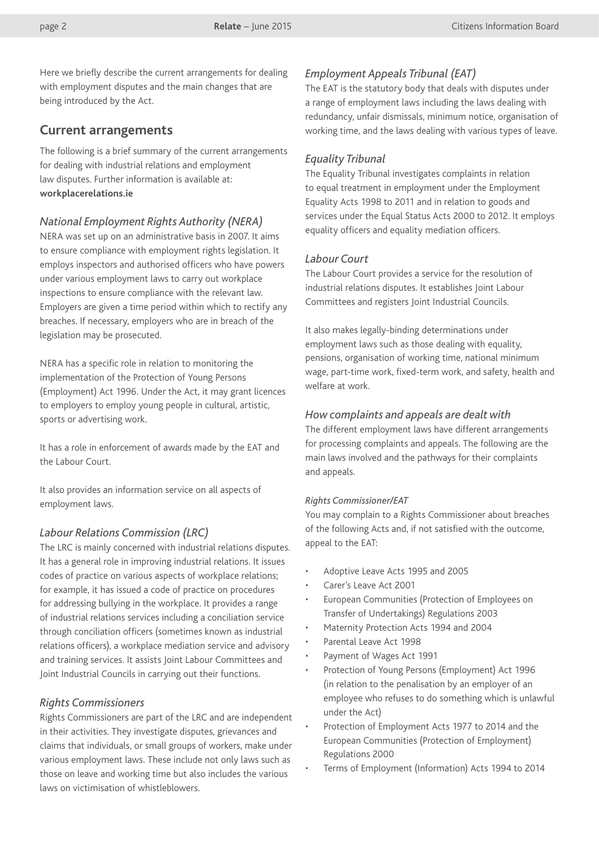Here we briefly describe the current arrangements for dealing with employment disputes and the main changes that are being introduced by the Act.

# **Current arrangements**

The following is a brief summary of the current arrangements for dealing with industrial relations and employment law disputes. Further information is available at: **[workplacerelations.ie](http://www.workplacerelations.ie/en/)**

# *National Employment Rights Authority (NERA)*

NERA was set up on an administrative basis in 2007. It aims to ensure compliance with employment rights legislation. It employs inspectors and authorised officers who have powers under various employment laws to carry out workplace inspections to ensure compliance with the relevant law. Employers are given a time period within which to rectify any breaches. If necessary, employers who are in breach of the legislation may be prosecuted.

NERA has a specific role in relation to monitoring the implementation of the Protection of Young Persons (Employment) Act 1996. Under the Act, it may grant licences to employers to employ young people in cultural, artistic, sports or advertising work.

It has a role in enforcement of awards made by the EAT and the Labour Court.

It also provides an information service on all aspects of employment laws.

# *Labour Relations Commission (LRC)*

The LRC is mainly concerned with industrial relations disputes. It has a general role in improving industrial relations. It issues codes of practice on various aspects of workplace relations; for example, it has issued a code of practice on procedures for addressing bullying in the workplace. It provides a range of industrial relations services including a conciliation service through conciliation officers (sometimes known as industrial relations officers), a workplace mediation service and advisory and training services. It assists Joint Labour Committees and Joint Industrial Councils in carrying out their functions.

# *Rights Commissioners*

Rights Commissioners are part of the LRC and are independent in their activities. They investigate disputes, grievances and claims that individuals, or small groups of workers, make under various employment laws. These include not only laws such as those on leave and working time but also includes the various laws on victimisation of whistleblowers.

# *Employment Appeals Tribunal (EAT)*

The EAT is the statutory body that deals with disputes under a range of employment laws including the laws dealing with redundancy, unfair dismissals, minimum notice, organisation of working time, and the laws dealing with various types of leave.

#### *Equality Tribunal*

The Equality Tribunal investigates complaints in relation to equal treatment in employment under the Employment Equality Acts 1998 to 2011 and in relation to goods and services under the Equal Status Acts 2000 to 2012. It employs equality officers and equality mediation officers.

# *Labour Court*

The Labour Court provides a service for the resolution of industrial relations disputes. It establishes Joint Labour Committees and registers Joint Industrial Councils.

It also makes legally-binding determinations under employment laws such as those dealing with equality, pensions, organisation of working time, national minimum wage, part-time work, fixed-term work, and safety, health and welfare at work.

#### *How complaints and appeals are dealt with*

The different employment laws have different arrangements for processing complaints and appeals. The following are the main laws involved and the pathways for their complaints and appeals.

#### *Rights Commissioner/EAT*

You may complain to a Rights Commissioner about breaches of the following Acts and, if not satisfied with the outcome, appeal to the EAT:

- Adoptive Leave Acts 1995 and 2005
- Carer's Leave Act 2001
- European Communities (Protection of Employees on Transfer of Undertakings) Regulations 2003
- Maternity Protection Acts 1994 and 2004
- Parental Leave Act 1998
- Payment of Wages Act 1991
- Protection of Young Persons (Employment) Act 1996 (in relation to the penalisation by an employer of an employee who refuses to do something which is unlawful under the Act)
- Protection of Employment Acts 1977 to 2014 and the European Communities (Protection of Employment) Regulations 2000
- Terms of Employment (Information) Acts 1994 to 2014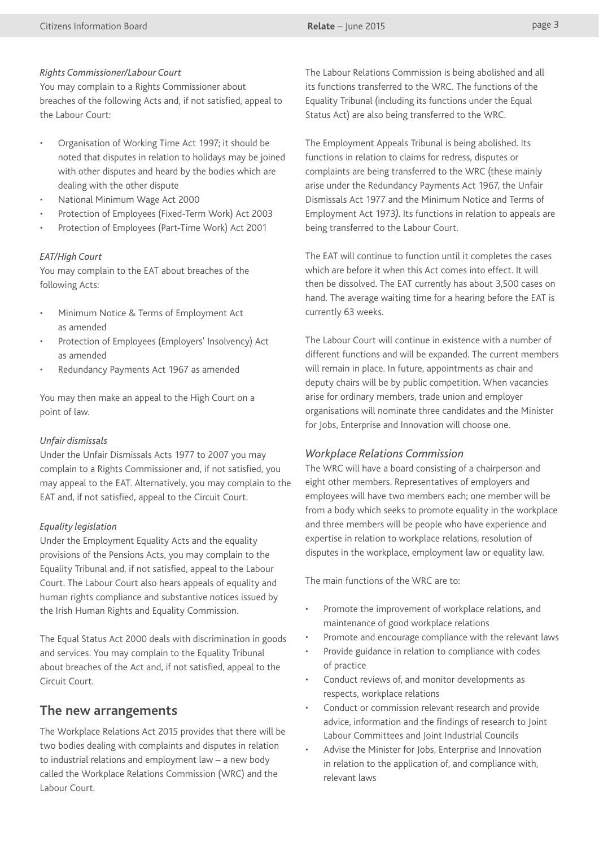#### *Rights Commissioner/Labour Court*

You may complain to a Rights Commissioner about breaches of the following Acts and, if not satisfied, appeal to the Labour Court:

- Organisation of Working Time Act 1997; it should be noted that disputes in relation to holidays may be joined with other disputes and heard by the bodies which are dealing with the other dispute
- National Minimum Wage Act 2000
- Protection of Employees (Fixed-Term Work) Act 2003
- Protection of Employees (Part-Time Work) Act 2001

#### *EAT/High Court*

You may complain to the EAT about breaches of the following Acts:

- Minimum Notice & Terms of Employment Act as amended
- Protection of Employees (Employers' Insolvency) Act as amended
- Redundancy Payments Act 1967 as amended

You may then make an appeal to the High Court on a point of law.

# *Unfair dismissals*

Under the Unfair Dismissals Acts 1977 to 2007 you may complain to a Rights Commissioner and, if not satisfied, you may appeal to the EAT. Alternatively, you may complain to the EAT and, if not satisfied, appeal to the Circuit Court.

# *Equality legislation*

Under the Employment Equality Acts and the equality provisions of the Pensions Acts, you may complain to the Equality Tribunal and, if not satisfied, appeal to the Labour Court. The Labour Court also hears appeals of equality and human rights compliance and substantive notices issued by the Irish Human Rights and Equality Commission.

The Equal Status Act 2000 deals with discrimination in goods and services. You may complain to the Equality Tribunal about breaches of the Act and, if not satisfied, appeal to the Circuit Court.

# **The new arrangements**

The Workplace Relations Act 2015 provides that there will be two bodies dealing with complaints and disputes in relation to industrial relations and employment law – a new body called the Workplace Relations Commission (WRC) and the Labour Court.

The Labour Relations Commission is being abolished and all its functions transferred to the WRC. The functions of the Equality Tribunal (including its functions under the Equal Status Act) are also being transferred to the WRC.

The Employment Appeals Tribunal is being abolished. Its functions in relation to claims for redress, disputes or complaints are being transferred to the WRC (these mainly arise under the Redundancy Payments Act 1967, the Unfair Dismissals Act 1977 and the Minimum Notice and Terms of Employment Act 1973*)*. Its functions in relation to appeals are being transferred to the Labour Court.

The EAT will continue to function until it completes the cases which are before it when this Act comes into effect. It will then be dissolved. The EAT currently has about 3,500 cases on hand. The average waiting time for a hearing before the EAT is currently 63 weeks.

The Labour Court will continue in existence with a number of different functions and will be expanded. The current members will remain in place. In future, appointments as chair and deputy chairs will be by public competition. When vacancies arise for ordinary members, trade union and employer organisations will nominate three candidates and the Minister for Jobs, Enterprise and Innovation will choose one.

# *Workplace Relations Commission*

The WRC will have a board consisting of a chairperson and eight other members. Representatives of employers and employees will have two members each; one member will be from a body which seeks to promote equality in the workplace and three members will be people who have experience and expertise in relation to workplace relations, resolution of disputes in the workplace, employment law or equality law.

The main functions of the WRC are to:

- Promote the improvement of workplace relations, and maintenance of good workplace relations
- Promote and encourage compliance with the relevant laws
- Provide guidance in relation to compliance with codes of practice
- Conduct reviews of, and monitor developments as respects, workplace relations
- Conduct or commission relevant research and provide advice, information and the findings of research to Joint Labour Committees and Joint Industrial Councils
- Advise the Minister for Jobs, Enterprise and Innovation in relation to the application of, and compliance with, relevant laws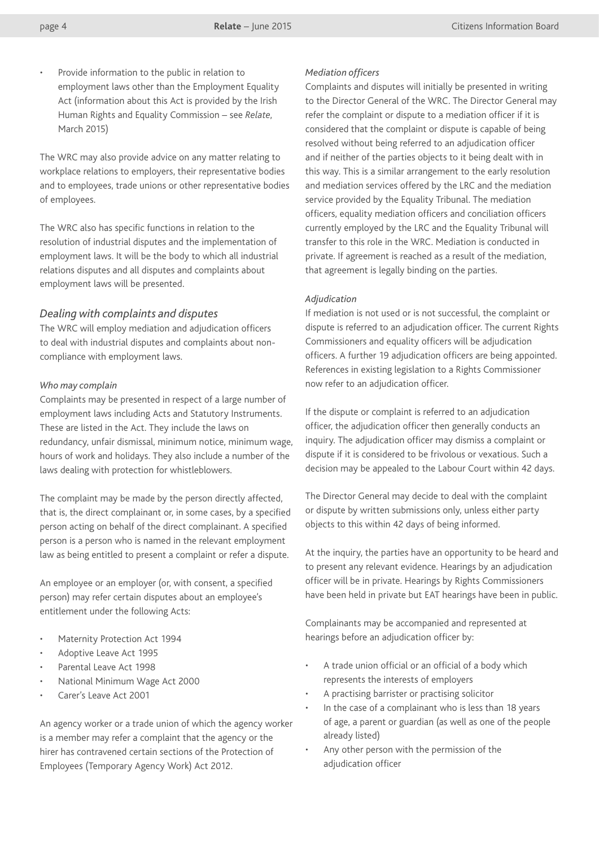Provide information to the public in relation to employment laws other than the Employment Equality Act (information about this Act is provided by the Irish Human Rights and Equality Commission – see *Relate*, March 2015)

The WRC may also provide advice on any matter relating to workplace relations to employers, their representative bodies and to employees, trade unions or other representative bodies of employees.

The WRC also has specific functions in relation to the resolution of industrial disputes and the implementation of employment laws. It will be the body to which all industrial relations disputes and all disputes and complaints about employment laws will be presented.

# *Dealing with complaints and disputes*

The WRC will employ mediation and adjudication officers to deal with industrial disputes and complaints about noncompliance with employment laws.

#### *Who may complain*

Complaints may be presented in respect of a large number of employment laws including Acts and Statutory Instruments. These are listed in the Act. They include the laws on redundancy, unfair dismissal, minimum notice, minimum wage, hours of work and holidays. They also include a number of the laws dealing with protection for whistleblowers.

The complaint may be made by the person directly affected, that is, the direct complainant or, in some cases, by a specified person acting on behalf of the direct complainant. A specified person is a person who is named in the relevant employment law as being entitled to present a complaint or refer a dispute.

An employee or an employer (or, with consent, a specified person) may refer certain disputes about an employee's entitlement under the following Acts:

- Maternity Protection Act 1994
- Adoptive Leave Act 1995
- Parental Leave Act 1998
- National Minimum Wage Act 2000
- Carer's Leave Act 2001

An agency worker or a trade union of which the agency worker is a member may refer a complaint that the agency or the hirer has contravened certain sections of the Protection of Employees (Temporary Agency Work) Act 2012.

#### *Mediation officers*

Complaints and disputes will initially be presented in writing to the Director General of the WRC. The Director General may refer the complaint or dispute to a mediation officer if it is considered that the complaint or dispute is capable of being resolved without being referred to an adjudication officer and if neither of the parties objects to it being dealt with in this way. This is a similar arrangement to the early resolution and mediation services offered by the LRC and the mediation service provided by the Equality Tribunal. The mediation officers, equality mediation officers and conciliation officers currently employed by the LRC and the Equality Tribunal will transfer to this role in the WRC. Mediation is conducted in private. If agreement is reached as a result of the mediation, that agreement is legally binding on the parties.

# *Adjudication*

If mediation is not used or is not successful, the complaint or dispute is referred to an adjudication officer. The current Rights Commissioners and equality officers will be adjudication officers. A further 19 adjudication officers are being appointed. References in existing legislation to a Rights Commissioner now refer to an adjudication officer.

If the dispute or complaint is referred to an adjudication officer, the adjudication officer then generally conducts an inquiry. The adjudication officer may dismiss a complaint or dispute if it is considered to be frivolous or vexatious. Such a decision may be appealed to the Labour Court within 42 days.

The Director General may decide to deal with the complaint or dispute by written submissions only, unless either party objects to this within 42 days of being informed.

At the inquiry, the parties have an opportunity to be heard and to present any relevant evidence. Hearings by an adjudication officer will be in private. Hearings by Rights Commissioners have been held in private but EAT hearings have been in public.

Complainants may be accompanied and represented at hearings before an adjudication officer by:

- A trade union official or an official of a body which represents the interests of employers
- A practising barrister or practising solicitor
- In the case of a complainant who is less than 18 years of age, a parent or guardian (as well as one of the people already listed)
- Any other person with the permission of the adjudication officer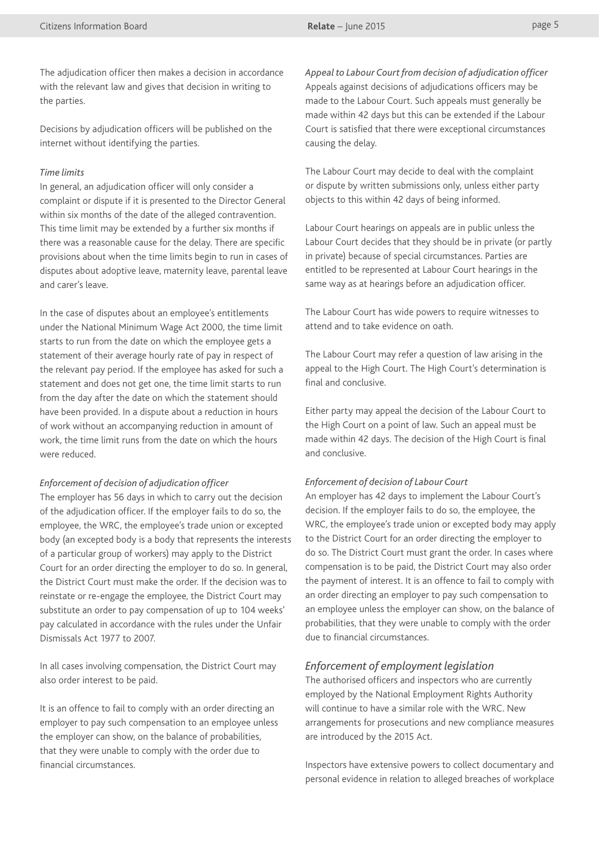The adjudication officer then makes a decision in accordance with the relevant law and gives that decision in writing to the parties.

Decisions by adjudication officers will be published on the internet without identifying the parties.

#### *Time limits*

In general, an adjudication officer will only consider a complaint or dispute if it is presented to the Director General within six months of the date of the alleged contravention. This time limit may be extended by a further six months if there was a reasonable cause for the delay. There are specific provisions about when the time limits begin to run in cases of disputes about adoptive leave, maternity leave, parental leave and carer's leave.

In the case of disputes about an employee's entitlements under the National Minimum Wage Act 2000, the time limit starts to run from the date on which the employee gets a statement of their average hourly rate of pay in respect of the relevant pay period. If the employee has asked for such a statement and does not get one, the time limit starts to run from the day after the date on which the statement should have been provided. In a dispute about a reduction in hours of work without an accompanying reduction in amount of work, the time limit runs from the date on which the hours were reduced.

#### *Enforcement of decision of adjudication officer*

The employer has 56 days in which to carry out the decision of the adjudication officer. If the employer fails to do so, the employee, the WRC, the employee's trade union or excepted body (an excepted body is a body that represents the interests of a particular group of workers) may apply to the District Court for an order directing the employer to do so. In general, the District Court must make the order. If the decision was to reinstate or re-engage the employee, the District Court may substitute an order to pay compensation of up to 104 weeks' pay calculated in accordance with the rules under the Unfair Dismissals Act 1977 to 2007.

In all cases involving compensation, the District Court may also order interest to be paid.

It is an offence to fail to comply with an order directing an employer to pay such compensation to an employee unless the employer can show, on the balance of probabilities, that they were unable to comply with the order due to financial circumstances.

*Appeal to Labour Court from decision of adjudication officer* Appeals against decisions of adjudications officers may be made to the Labour Court. Such appeals must generally be made within 42 days but this can be extended if the Labour Court is satisfied that there were exceptional circumstances causing the delay.

The Labour Court may decide to deal with the complaint or dispute by written submissions only, unless either party objects to this within 42 days of being informed.

Labour Court hearings on appeals are in public unless the Labour Court decides that they should be in private (or partly in private) because of special circumstances. Parties are entitled to be represented at Labour Court hearings in the same way as at hearings before an adjudication officer.

The Labour Court has wide powers to require witnesses to attend and to take evidence on oath.

The Labour Court may refer a question of law arising in the appeal to the High Court. The High Court's determination is final and conclusive.

Either party may appeal the decision of the Labour Court to the High Court on a point of law. Such an appeal must be made within 42 days. The decision of the High Court is final and conclusive.

#### *Enforcement of decision of Labour Court*

An employer has 42 days to implement the Labour Court's decision. If the employer fails to do so, the employee, the WRC, the employee's trade union or excepted body may apply to the District Court for an order directing the employer to do so. The District Court must grant the order. In cases where compensation is to be paid, the District Court may also order the payment of interest. It is an offence to fail to comply with an order directing an employer to pay such compensation to an employee unless the employer can show, on the balance of probabilities, that they were unable to comply with the order due to financial circumstances.

#### *Enforcement of employment legislation*

The authorised officers and inspectors who are currently employed by the National Employment Rights Authority will continue to have a similar role with the WRC. New arrangements for prosecutions and new compliance measures are introduced by the 2015 Act.

Inspectors have extensive powers to collect documentary and personal evidence in relation to alleged breaches of workplace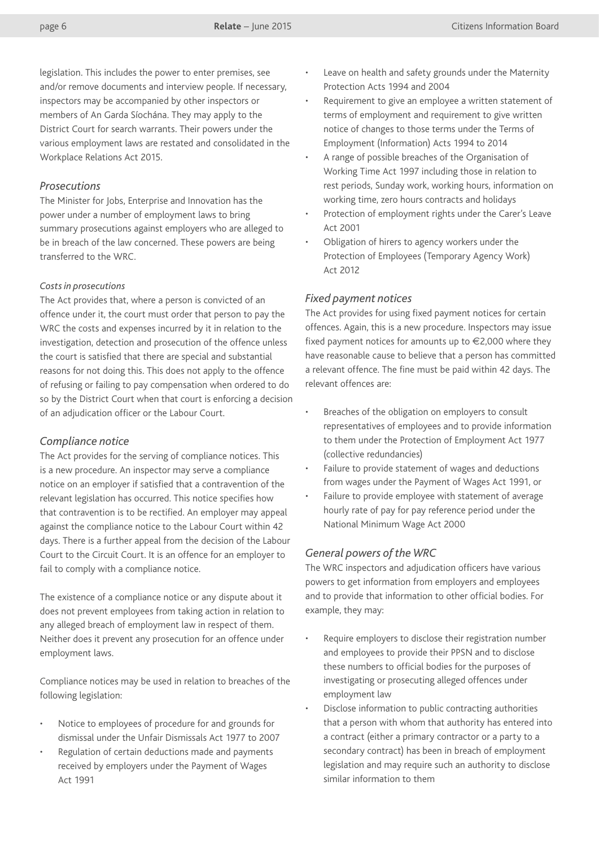legislation. This includes the power to enter premises, see and/or remove documents and interview people. If necessary, inspectors may be accompanied by other inspectors or members of An Garda Síochána. They may apply to the District Court for search warrants. Their powers under the various employment laws are restated and consolidated in the Workplace Relations Act 2015.

# *Prosecutions*

The Minister for Jobs, Enterprise and Innovation has the power under a number of employment laws to bring summary prosecutions against employers who are alleged to be in breach of the law concerned. These powers are being transferred to the WRC.

#### *Costs in prosecutions*

The Act provides that, where a person is convicted of an offence under it, the court must order that person to pay the WRC the costs and expenses incurred by it in relation to the investigation, detection and prosecution of the offence unless the court is satisfied that there are special and substantial reasons for not doing this. This does not apply to the offence of refusing or failing to pay compensation when ordered to do so by the District Court when that court is enforcing a decision of an adjudication officer or the Labour Court.

# *Compliance notice*

The Act provides for the serving of compliance notices. This is a new procedure. An inspector may serve a compliance notice on an employer if satisfied that a contravention of the relevant legislation has occurred. This notice specifies how that contravention is to be rectified. An employer may appeal against the compliance notice to the Labour Court within 42 days. There is a further appeal from the decision of the Labour Court to the Circuit Court. It is an offence for an employer to fail to comply with a compliance notice.

The existence of a compliance notice or any dispute about it does not prevent employees from taking action in relation to any alleged breach of employment law in respect of them. Neither does it prevent any prosecution for an offence under employment laws.

Compliance notices may be used in relation to breaches of the following legislation:

- Notice to employees of procedure for and grounds for dismissal under the Unfair Dismissals Act 1977 to 2007
- Regulation of certain deductions made and payments received by employers under the Payment of Wages Act 1991
- Leave on health and safety grounds under the Maternity Protection Acts 1994 and 2004
- Requirement to give an employee a written statement of terms of employment and requirement to give written notice of changes to those terms under the Terms of Employment (Information) Acts 1994 to 2014
- A range of possible breaches of the Organisation of Working Time Act 1997 including those in relation to rest periods, Sunday work, working hours, information on working time, zero hours contracts and holidays
- Protection of employment rights under the Carer's Leave Act 2001
- Obligation of hirers to agency workers under the Protection of Employees (Temporary Agency Work) Act 2012

# *Fixed payment notices*

The Act provides for using fixed payment notices for certain offences. Again, this is a new procedure. Inspectors may issue fixed payment notices for amounts up to  $\in$ 2,000 where they have reasonable cause to believe that a person has committed a relevant offence. The fine must be paid within 42 days. The relevant offences are:

- Breaches of the obligation on employers to consult representatives of employees and to provide information to them under the Protection of Employment Act 1977 (collective redundancies)
- Failure to provide statement of wages and deductions from wages under the Payment of Wages Act 1991, or
- Failure to provide employee with statement of average hourly rate of pay for pay reference period under the National Minimum Wage Act 2000

# *General powers of the WRC*

The WRC inspectors and adjudication officers have various powers to get information from employers and employees and to provide that information to other official bodies. For example, they may:

- Require employers to disclose their registration number and employees to provide their PPSN and to disclose these numbers to official bodies for the purposes of investigating or prosecuting alleged offences under employment law
- Disclose information to public contracting authorities that a person with whom that authority has entered into a contract (either a primary contractor or a party to a secondary contract) has been in breach of employment legislation and may require such an authority to disclose similar information to them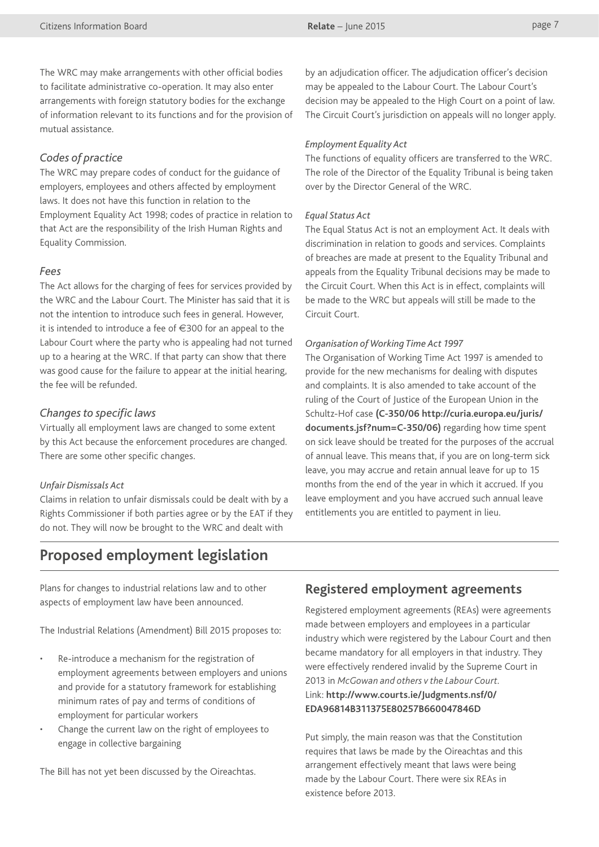The WRC may make arrangements with other official bodies to facilitate administrative co-operation. It may also enter arrangements with foreign statutory bodies for the exchange of information relevant to its functions and for the provision of mutual assistance.

# *Codes of practice*

The WRC may prepare codes of conduct for the guidance of employers, employees and others affected by employment laws. It does not have this function in relation to the Employment Equality Act 1998; codes of practice in relation to that Act are the responsibility of the Irish Human Rights and Equality Commission.

# *Fees*

The Act allows for the charging of fees for services provided by the WRC and the Labour Court. The Minister has said that it is not the intention to introduce such fees in general. However, it is intended to introduce a fee of €300 for an appeal to the Labour Court where the party who is appealing had not turned up to a hearing at the WRC. If that party can show that there was good cause for the failure to appear at the initial hearing, the fee will be refunded.

# *Changes to specific laws*

Virtually all employment laws are changed to some extent by this Act because the enforcement procedures are changed. There are some other specific changes.

# *Unfair Dismissals Act*

Claims in relation to unfair dismissals could be dealt with by a Rights Commissioner if both parties agree or by the EAT if they do not. They will now be brought to the WRC and dealt with

by an adjudication officer. The adjudication officer's decision may be appealed to the Labour Court. The Labour Court's decision may be appealed to the High Court on a point of law. The Circuit Court's jurisdiction on appeals will no longer apply.

# *Employment Equality Act*

The functions of equality officers are transferred to the WRC. The role of the Director of the Equality Tribunal is being taken over by the Director General of the WRC.

# *Equal Status Act*

The Equal Status Act is not an employment Act. It deals with discrimination in relation to goods and services. Complaints of breaches are made at present to the Equality Tribunal and appeals from the Equality Tribunal decisions may be made to the Circuit Court. When this Act is in effect, complaints will be made to the WRC but appeals will still be made to the Circuit Court.

#### *Organisation of Working Time Act 1997*

The Organisation of Working Time Act 1997 is amended to provide for the new mechanisms for dealing with disputes and complaints. It is also amended to take account of the ruling of the Court of Justice of the European Union in the Schultz-Hof case **(C-350/06 [http://curia.europa.eu/juris/](http://curia.europa.eu/juris/documents.jsf?num=C-350/06) [documents.jsf?num=C-350/06](http://curia.europa.eu/juris/documents.jsf?num=C-350/06))** regarding how time spent on sick leave should be treated for the purposes of the accrual of annual leave. This means that, if you are on long-term sick leave, you may accrue and retain annual leave for up to 15 months from the end of the year in which it accrued. If you leave employment and you have accrued such annual leave entitlements you are entitled to payment in lieu.

# **Proposed employment legislation**

Plans for changes to industrial relations law and to other aspects of employment law have been announced.

The Industrial Relations (Amendment) Bill 2015 proposes to:

- Re-introduce a mechanism for the registration of employment agreements between employers and unions and provide for a statutory framework for establishing minimum rates of pay and terms of conditions of employment for particular workers
- Change the current law on the right of employees to engage in collective bargaining

The Bill has not yet been discussed by the Oireachtas.

# **Registered employment agreements**

Registered employment agreements (REAs) were agreements made between employers and employees in a particular industry which were registered by the Labour Court and then became mandatory for all employers in that industry. They were effectively rendered invalid by the Supreme Court in 2013 in *McGowan and others v the Labour Court.* Link: **[http://www.courts.ie/Judgments.nsf/0/](http://www.courts.ie/Judgments.nsf/0/EDA96814B311375E80257B660047846D) [EDA96814B311375E80257B660047846D](http://www.courts.ie/Judgments.nsf/0/EDA96814B311375E80257B660047846D)**

Put simply, the main reason was that the Constitution requires that laws be made by the Oireachtas and this arrangement effectively meant that laws were being made by the Labour Court. There were six REAs in existence before 2013.